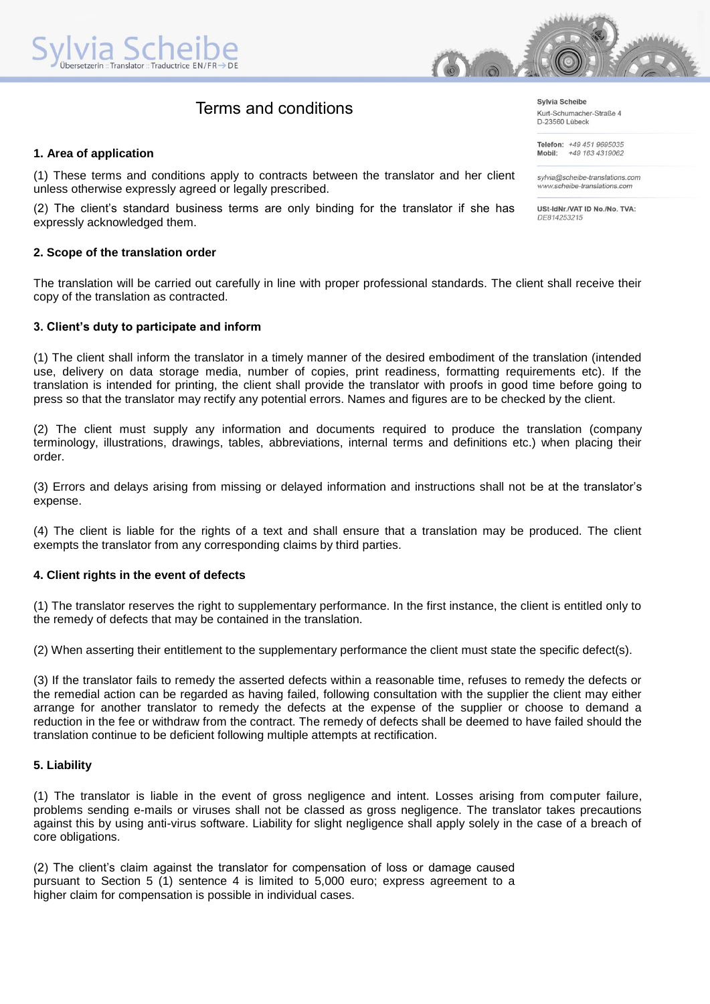# Terms and conditions

## **1. Area of application**

(1) These terms and conditions apply to contracts between the translator and her client unless otherwise expressly agreed or legally prescribed.

(2) The client's standard business terms are only binding for the translator if she has expressly acknowledged them.

## **2. Scope of the translation order**

The translation will be carried out carefully in line with proper professional standards. The client shall receive their copy of the translation as contracted.

## **3. Client's duty to participate and inform**

(1) The client shall inform the translator in a timely manner of the desired embodiment of the translation (intended use, delivery on data storage media, number of copies, print readiness, formatting requirements etc). If the translation is intended for printing, the client shall provide the translator with proofs in good time before going to press so that the translator may rectify any potential errors. Names and figures are to be checked by the client.

(2) The client must supply any information and documents required to produce the translation (company terminology, illustrations, drawings, tables, abbreviations, internal terms and definitions etc.) when placing their order.

(3) Errors and delays arising from missing or delayed information and instructions shall not be at the translator's expense.

(4) The client is liable for the rights of a text and shall ensure that a translation may be produced. The client exempts the translator from any corresponding claims by third parties.

#### **4. Client rights in the event of defects**

(1) The translator reserves the right to supplementary performance. In the first instance, the client is entitled only to the remedy of defects that may be contained in the translation.

(2) When asserting their entitlement to the supplementary performance the client must state the specific defect(s).

(3) If the translator fails to remedy the asserted defects within a reasonable time, refuses to remedy the defects or the remedial action can be regarded as having failed, following consultation with the supplier the client may either arrange for another translator to remedy the defects at the expense of the supplier or choose to demand a reduction in the fee or withdraw from the contract. The remedy of defects shall be deemed to have failed should the translation continue to be deficient following multiple attempts at rectification.

#### **5. Liability**

(1) The translator is liable in the event of gross negligence and intent. Losses arising from computer failure, problems sending e-mails or viruses shall not be classed as gross negligence. The translator takes precautions against this by using anti-virus software. Liability for slight negligence shall apply solely in the case of a breach of core obligations.

(2) The client's claim against the translator for compensation of loss or damage caused pursuant to Section 5 (1) sentence 4 is limited to 5,000 euro; express agreement to a higher claim for compensation is possible in individual cases.

Sylvia Scheibe Kurt-Schumacher-Straße 4 D-23560 Lübeck

Telefon: +49 451 9695035 Mobil: +49 163 4319062

sylvia@scheibe-translations.com www.scheibe-translations.com

USt-IdNr./VAT ID No./No. TVA: DE814253215

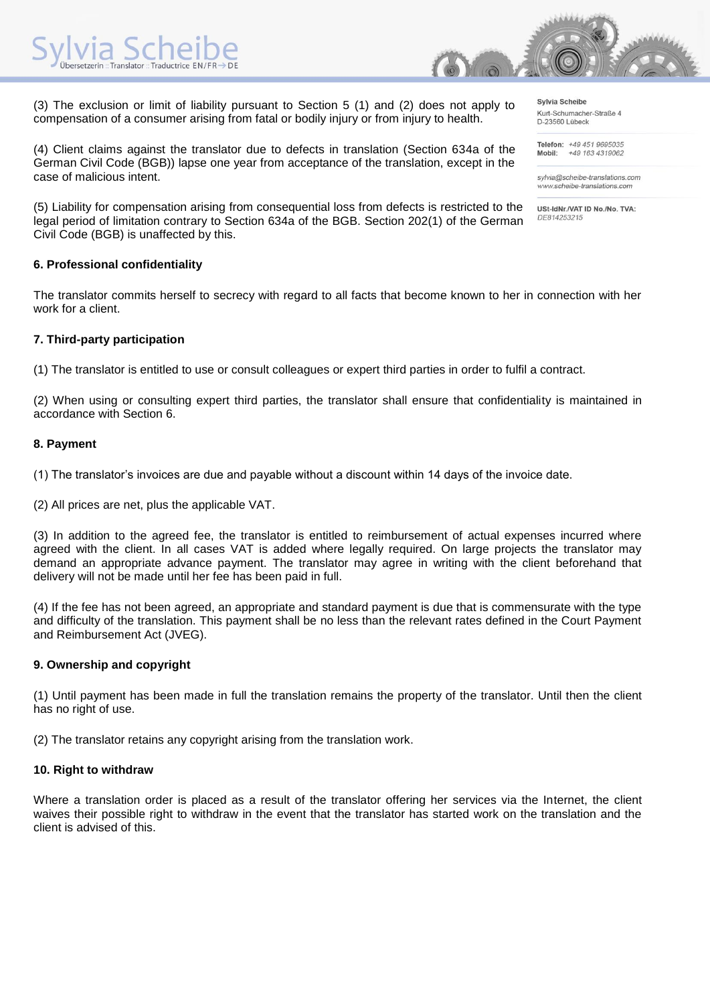

(3) The exclusion or limit of liability pursuant to Section 5 (1) and (2) does not apply to compensation of a consumer arising from fatal or bodily injury or from injury to health.

(4) Client claims against the translator due to defects in translation (Section 634a of the German Civil Code (BGB)) lapse one year from acceptance of the translation, except in the case of malicious intent.

(5) Liability for compensation arising from consequential loss from defects is restricted to the legal period of limitation contrary to Section 634a of the BGB. Section 202(1) of the German Civil Code (BGB) is unaffected by this.

## **6. Professional confidentiality**

The translator commits herself to secrecy with regard to all facts that become known to her in connection with her work for a client.

# **7. Third-party participation**

(1) The translator is entitled to use or consult colleagues or expert third parties in order to fulfil a contract.

(2) When using or consulting expert third parties, the translator shall ensure that confidentiality is maintained in accordance with Section 6.

## **8. Payment**

(1) The translator's invoices are due and payable without a discount within 14 days of the invoice date.

(2) All prices are net, plus the applicable VAT.

(3) In addition to the agreed fee, the translator is entitled to reimbursement of actual expenses incurred where agreed with the client. In all cases VAT is added where legally required. On large projects the translator may demand an appropriate advance payment. The translator may agree in writing with the client beforehand that delivery will not be made until her fee has been paid in full.

(4) If the fee has not been agreed, an appropriate and standard payment is due that is commensurate with the type and difficulty of the translation. This payment shall be no less than the relevant rates defined in the Court Payment and Reimbursement Act (JVEG).

# **9. Ownership and copyright**

(1) Until payment has been made in full the translation remains the property of the translator. Until then the client has no right of use.

(2) The translator retains any copyright arising from the translation work.

#### **10. Right to withdraw**

Where a translation order is placed as a result of the translator offering her services via the Internet, the client waives their possible right to withdraw in the event that the translator has started work on the translation and the client is advised of this.

Sylvia Scheibe Kurt-Schumacher-Straße 4 D-23560 Lübeck

Telefon: +49 451 9695035 +49 163 4319062 Mobil:

sylvia@scheibe-translations.com www.scheibe-translations.com

USt-IdNr./VAT ID No./No. TVA: DE814253215